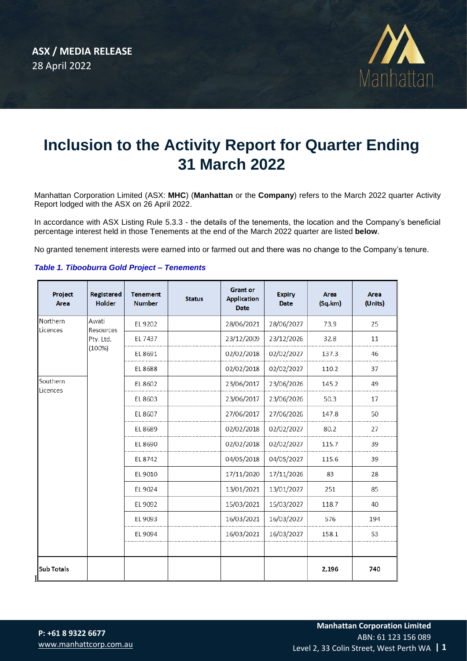

# **Inclusion to the Activity Report for Quarter Ending 31 March 2022**

Manhattan Corporation Limited (ASX: **MHC**) (**Manhattan** or the **Company**) refers to the March 2022 quarter Activity Report lodged with the ASX on 26 April 2022.

In accordance with ASX Listing Rule 5.3.3 - the details of the tenements, the location and the Company's beneficial percentage interest held in those Tenements at the end of the March 2022 quarter are listed **below**.

No granted tenement interests were earned into or farmed out and there was no change to the Company's tenure.

| Project<br><b>Area</b> | Registered<br><b>Holder</b>               | <b>Tenement</b><br><b>Number</b> | <b>Status</b> | <b>Grant or</b><br><b>Application</b><br><b>Date</b> | <b>Expiry</b><br><b>Date</b> | <b>Area</b><br>(Sq.km) | <b>Area</b><br>(Units) |
|------------------------|-------------------------------------------|----------------------------------|---------------|------------------------------------------------------|------------------------------|------------------------|------------------------|
| Northern<br>Licences   | Awati<br>Resources<br>Pty. Ltd.<br>(100%) | EL 9202                          |               | 28/06/2021                                           | 28/06/2027                   | 73.9                   | 25                     |
|                        |                                           | EL 7437                          |               | 23/12/2009                                           | 23/12/2026                   | 32.8                   | 11                     |
|                        |                                           | EL 8691                          |               | 02/02/2018                                           | 02/02/2027                   | 137.3                  | 46                     |
|                        |                                           | EL 8688                          |               | 02/02/2018                                           | 02/02/2027                   | 110.2                  | 37                     |
| Southern<br>Licences   |                                           | EL 8602                          |               | 23/06/2017                                           | 23/06/2026                   | 145.2                  | 49                     |
|                        |                                           | EL 8603                          |               | 23/06/2017                                           | 23/06/2026                   | 50.3                   | 17                     |
|                        |                                           | EL 8607                          |               | 27/06/2017                                           | 27/06/2026                   | 147.8                  | 50                     |
|                        |                                           | EL 8689                          |               | 02/02/2018                                           | 02/02/2027                   | 80.2                   | 27                     |
|                        |                                           | EL 8690                          |               | 02/02/2018                                           | 02/02/2027                   | 115.7                  | 39                     |
|                        |                                           | EL 8742                          |               | 04/05/2018                                           | 04/05/2027                   | 115.6                  | 39                     |
|                        |                                           | EL 9010                          |               | 17/11/2020                                           | 17/11/2026                   | 83                     | 28                     |
|                        |                                           | EL 9024                          |               | 13/01/2021                                           | 13/01/2027                   | 251                    | 85                     |
|                        |                                           | EL 9092                          |               | 15/03/2021                                           | 15/03/2027                   | 118.7                  | 40                     |
|                        |                                           | EL 9093                          |               | 16/03/2021                                           | 16/03/2027                   | 576                    | 194                    |
|                        |                                           | EL 9094                          |               | 16/03/2021                                           | 16/03/2027                   | 158.1                  | 53                     |
|                        |                                           |                                  |               |                                                      |                              |                        |                        |
| <b>Sub Totals</b>      |                                           |                                  |               |                                                      |                              | 2,196                  | 740                    |

# *Table 1. Tibooburra Gold Project – Tenements*